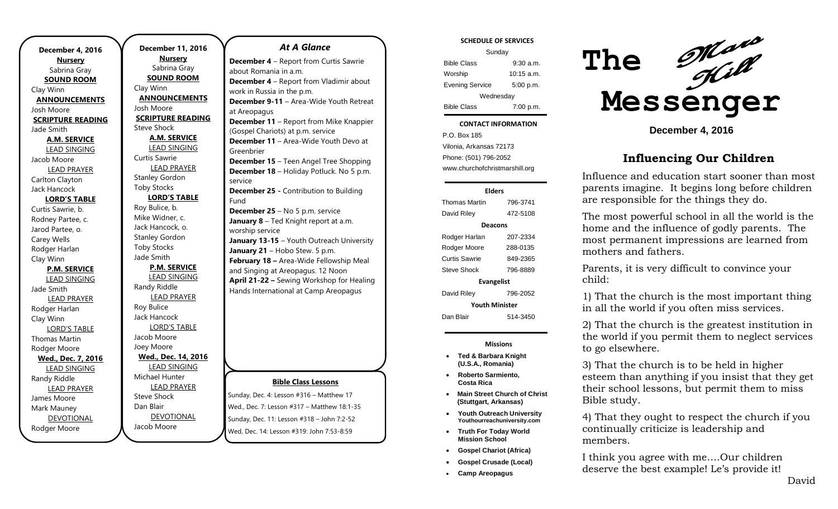**December 4, 2016 Nursery** Sabrina Gray **SOUND ROOM** Clay Winn **ANNOUNCEMENTS** Josh Moore **SCRIPTURE READING** Jade Smith **A.M. SERVICE** LEAD SINGING Jacob Moore LEAD PRAYER Carlton Clayton Jack Hancock **LORD'S TABLE** Curtis Sawrie, b. Rodney Partee, c. Jarod Partee, o. Carey Wells Rodger Harlan Clay Winn **P.M. SERVICE** LEAD SINGING Jade Smith LEAD PRAYER Rodger Harlan Clay Winn LORD'S TABLE Thomas Martin Rodger Moore **Wed., Dec. 7, 2016** LEAD SINGING Randy Riddle LEAD PRAYER James Moore Mark Mauney DEVOTIONAL Rodger Moore

**December 11, 2016 Nursery** Sabrina Gray **SOUND ROOM** Clay Winn **ANNOUNCEMENTS** Josh Moore **SCRIPTURE READING** Steve Shock **A.M. SERVICE** LEAD SINGING Curtis Sawrie LEAD PRAYER Stanley Gordon Toby Stocks **LORD'S TABLE** Roy Bulice, b. Mike Widner, c. Jack Hancock, o. Stanley Gordon Toby Stocks Jade Smith **P.M. SERVICE** LEAD SINGING Randy Riddle LEAD PRAYER Roy Bulice Jack Hancock LORD'S TABLE Jacob Moore Joey Moore **Wed., Dec. 14, 2016** LEAD SINGING Michael Hunter LEAD PRAYER Steve Shock Dan Blair DEVOTIONAL

Jacob Moore

## **Bible Class Lessons** Sunday, Dec. 4: Lesson #316 – Matthew 17 Wed., Dec. 7: Lesson #317 – Matthew 18:1-35 *At A Glance*  **December 4** – Report from Curtis Sawrie about Romania in a.m. **December 4** – Report from Vladimir about work in Russia in the p.m. **December 9-11** – Area-Wide Youth Retreat at Areopagus **December 11** – Report from Mike Knappier (Gospel Chariots) at p.m. service **December 11** – Area-Wide Youth Devo at Greenbrier **December 15** – Teen Angel Tree Shopping **December 18** – Holiday Potluck. No 5 p.m. service **December 25 -** Contribution to Building Fund **December 25** – No 5 p.m. service **January 8** – Ted Knight report at a.m. worship service **January 13-15** – Youth Outreach University January 21 - Hobo Stew. 5 p.m. **February 18 –** Area-Wide Fellowship Meal and Singing at Areopagus. 12 Noon **April 21-22 –** Sewing Workshop for Healing Hands International at Camp Areopagus

Sunday, Dec. 11: Lesson #318 – John 7:2-52 Wed, Dec. 14: Lesson #319: John 7:53-8:59

**SCHEDULE OF SERVICES**

| Sunday                 |              |  |
|------------------------|--------------|--|
| <b>Bible Class</b>     | 9:30 a.m.    |  |
| Worship                | $10:15$ a.m. |  |
| <b>Evening Service</b> | 5:00 p.m.    |  |
| Wednesday              |              |  |
| <b>Bible Class</b>     | 7:00 p.m.    |  |

#### **CONTACT INFORMATION**

Tuesday . .o. Bex 166<br>Vilonia, Arkansas 72173 P.O. Box 185 Phone: (501) 796-2052 www.churchofchristmarshill.org

### **Elders**

| <b>Thomas Martin</b>  | 796-3741 |  |
|-----------------------|----------|--|
| David Riley           | 472-5108 |  |
| Deacons               |          |  |
| Rodger Harlan         | 207-2334 |  |
| Rodger Moore          | 288-0135 |  |
| Curtis Sawrie         | 849-2365 |  |
| Steve Shock           | 796-8889 |  |
| <b>Evangelist</b>     |          |  |
| David Riley           | 796-2052 |  |
| <b>Youth Minister</b> |          |  |
| Dan Blair             | 514-3450 |  |

**Missions**

- **Ted & Barbara Knight (U.S.A., Romania)**
- **Roberto Sarmiento, Costa Rica**
- **Main Street Church of Christ (Stuttgart, Arkansas)**
- **Youth Outreach University Youthourreachuniversity.com**
- **Truth For Today World Mission School**
- **Gospel Chariot (Africa)**
- **Gospel Crusade (Local)**
- **Camp Areopagus**



**December 4, 2016**

# **Influencing Our Children**

Influence and education start sooner than most parents imagine. It begins long before children are responsible for the things they do.

The most powerful school in all the world is the home and the influence of godly parents. The most permanent impressions are learned from mothers and fathers.

Parents, it is very difficult to convince your child:

1) That the church is the most important thing in all the world if you often miss services.

2) That the church is the greatest institution in the world if you permit them to neglect services to go elsewhere.

3) That the church is to be held in higher esteem than anything if you insist that they get their school lessons, but permit them to miss Bible study.

4) That they ought to respect the church if you continually criticize is leadership and members.

I think you agree with me….Our children deserve the best example! Le's provide it!